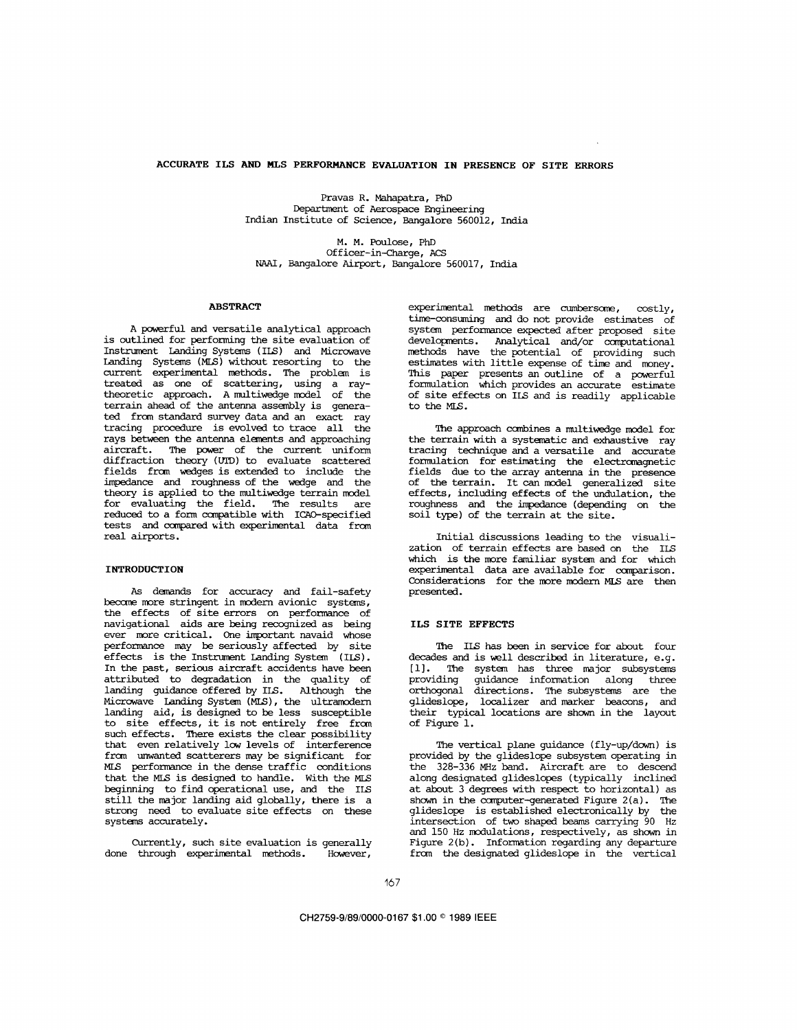## **ACCURATE ILS** *AND* **MLS PERFORMANCE EVALUATION IN PRESENCE OF SITE ERRORS**

Pravas R. Mahapatra, PhD Department of Aerospace Engineering Indian Institute of Science, Bangalore 560012, India

M. **M.** Poulose, PhD Officer-in-Charge, ACS NAAI, Bangalore Airport, Bangalore 560017, India

#### **ABSTRACT**

A powerful and versatile analytical approach is outlined for performing the site evaluation of Instrument Landing Systans (ILS) and Microwave Landing Systems (MLS) without resorting to the current experimental methcds. The problem is treated as one of scattering, using a raytheoretic approach. Amultiwefige model of the terrain ahead of the antenna assembly is generated frcmstandard survey dataandan *exact* ray tracing procedure is evolved to trace all the rays between the antenna elements and approaching aircraft. The power of the current uniform diffraction theory (VIZ)) to evaluate scattered fields frcm wedges is extended to include the impedance and roughness of the wedge and the theory is applied to the multiwedge terrain model for evaluating the field. The results are reduced to a form ccinpatible with ICAO-specified tests and ccmpared with experimental data fran real airports.

# **INTRODUCTION**

As demands for accuracy and fail-safety become more stringent in modern avionic systems, the effects of site errors on performance of navigational aids are being recognized as being ever more critical. One important navaid whose performance may be seriouslyaffected by site effects is the Instrument Landing System **(ILS).**  In the past, serious aircraft accidents have been attributed to degradation in the quality of landing guidance offered by IS. Although the landing guidance offered by ILS. Although the<br>Microwave Landing System (MLS), the ultramodern<br>landing aid, is designed to be less susceptible to site effects, it is not entirely free from such effects. There exists the clear possibility that even relatively low levels of interference frcm unwanted scatterers may be significant for **MIS** performance in the dense traffic conditions that the **MLS** is designed to handle. With the **MLS**  beginning to find operational use, and the ILS<br>still the major landing aid globally, there is a still the major landing aid globally, there is a strong need to evaluate site effects on these systems accurately.

Currently, such site evaluation is generally done through experimental methods. However,

experimental methods are *clrmbersome,* costly, time-consuming and do not provide estimates of system performance expected after proposed site developnents. Analytical and/or canputational methods have the potential of providing such estimates with little expense of time and money. This paper presents an outline of a powerful formulation which provides an accurate estimate of site effects on ILS and is readily applicable to the **MLS.** 

The approach combines a multiwedge model for the terrain with a systematic and exhaustive ray tracing technique and a versatile and accurate fonnulation for estimating the electranagnetic fields due to the array antenna in the presence of the terrain. It *can* model generalized site effects, including effects of the undulation, the roughness and the impedance (depending on the soil type) of the terrain at the site.

Initial discussions leading to the visualization of terrain effects are based on the **ILS**  which is the more familiar system and for which experimental data are available for comparison. Considerations for the more modern **MLS** are then presented.

#### ILS **SITE EFFECTS**

The ILS has been in service for about four decades and is well described in literature, e.g. [l]. The system has three major subsystems providing guidance information along three orthogonal directions. The subsystems are the glideslope, localizer and marker beacons, and their typical locations are sham in the layout of [Figure 1.](#page-1-0)

The vertical plane guidance (fly-up/down) is provided by the glideslope subsystem operating in the 328-336 MHz band. Aircraft are to descend along designated glideslopes (typically inclined at about 3 degrees with respect to horizontal) as shown in the computer-generated Figure 2(a). The glideslope is established electronically by the intersection of two shaped beams carrying 90 **Hz**  and 150 Hz modulations, respectively, as shown in Figure 2(b). Information regarding any departure from the designated glideslope in the vertical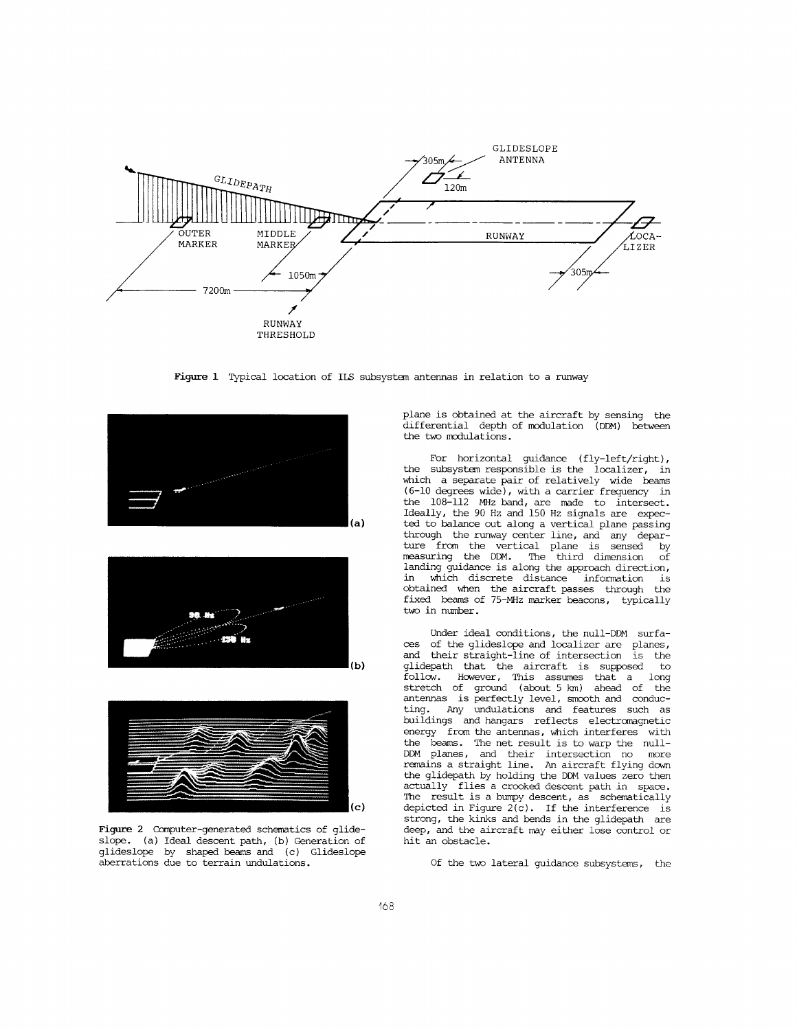<span id="page-1-0"></span>

**Figure 1** Typical location of **ILS** subsystem antennas in relation to a runway





Figure 2 Computer-generated schematics of glideslope. (a) Ideal descent path, (b) Generation of glideslope by shaped beams and (c) Glideslope aberrations due to terrain undulations.

plane is obtained at the aircraft by sensing the differential depth of modulation (DDM) between the two modulations.

For horizontal guidance (fly-left/right), the subsystem responsible is the localizer, in which a separate pair of relatively wide beams **(6-10** degrees wide), with a carrier frequency in the 108-112 MHz band, are made to intersect. Ideally, the 90 Hz and 150 Hz signals are *expec*ted to balance out along a vertical plane passing through the runway center line, and any departure from the vertical plane is sensed by measuring the DDM. The third dimension of  $l$  land the set of the approach direction,  $l$  and  $l$  and  $l$  and  $l$  is along the approach direction,  $l$  is  $l$  is along the distance information is which discrete distance information is<br>ined when the aircraft passes through the obtained when the aircraft passes through fixed beams of 75-MHz marker beacons, typically two in number.

Under ideal conditions, the null-DDM surfa- ces of the glideslope and localizer are planes, and their straight-line of intersection is the glidepath that the aircraft is supposed follow. However, This assumes that a long stretch of ground (about 5 km) ahead of the antennas is perfectly level, smooth and conduc-<br>ting. Any undulations and features such as ting. Any undulations and features such as buildings and hangars reflects electrcmagnetic energy from the antennas, which interferes with the beams. The net result is to warp the null-DDM planes, and their intersection no more remains a straight line. *An* aircraft flying down the glidepath by holding the **DDM** values zero then actually flies a crooked descent path in space. The result is a bumpy descent, as schematically depicted in Figure  $2(c)$ . If the interference is strong, the kinks and bends in the glidepath are deep, and the aircraft may either lose control or hit an obstacle.

Of the two lateral guidance subsystems, the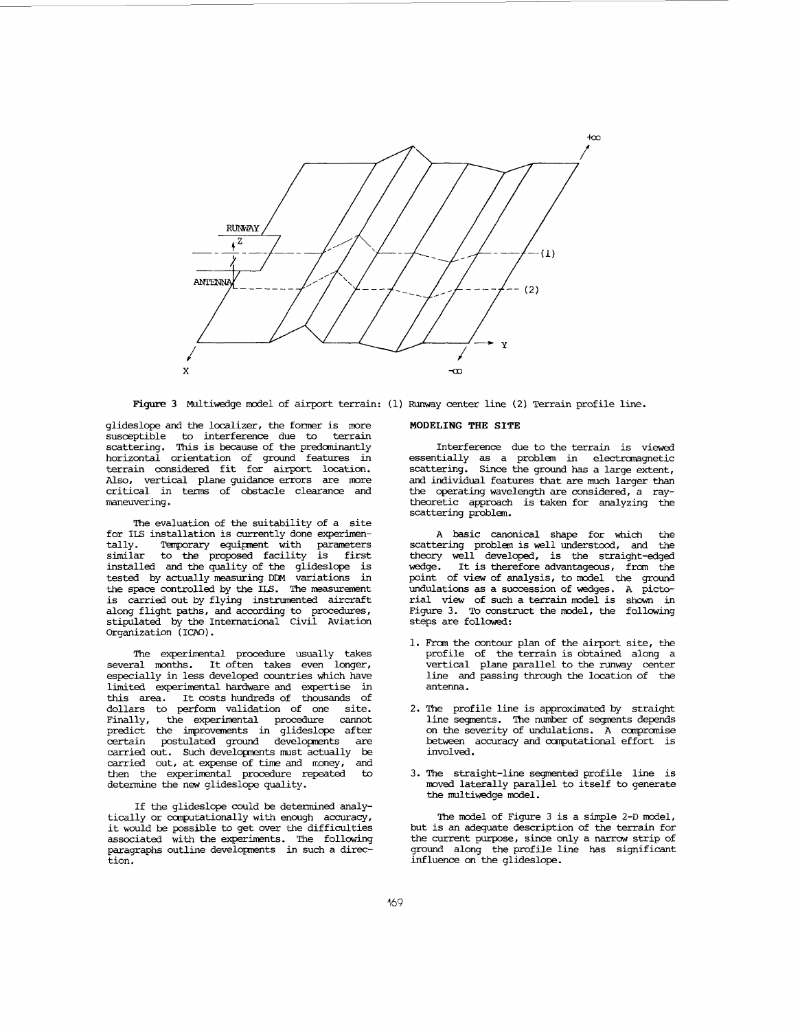

glideslope and the locdlizer, the former is more susceptible to interference due to terrain scattering. This is because of the predominantly horizontal orientation of ground features in terrain considered fit for airport location.<br>Also, vertical plane guidance errors are more critical in terms of obstacle clearance and maneuvering.

The evaluation of the suitability of a site for ILS installation is currently done experimentally. Temporary equipment with parameters tally. Temporary equipment with parameters similar to the proposed facility is first installed and the quality of the glideslope is tested by actually measuring DDM variations in the space controlled by the ILS. The measurement is carried out by flying instrumented aircraft along flight paths, and according to procedures, stipulated by the International Civil Aviation Organization **(ICAO).** 

The experimental procedure usually takes several months. It often takes even longer, especially in less developed countries which have limited experimental hardware and expertise in this area. It costs hundreds of thousands of dollars to perform validation of one site. dollars to perform validation of one site.<br>Finally, the experimental procedure cannot the experimental procedure predict the improvements in glideslope after<br>certain postulated ground developments are carried out. Such developments must actually be carried out, at expense of time and  $mony$ , and then the experimental procedure repeated to determine the new glideslope quality.

If the glideslope could be determined analytically or computationally with enough accuracy, it would be possible to get over the difficulties associated with the experiments. The following paragraphs outline developnents in such a direction.

#### **MODELING THE SITE**

Interference due to the terrain is viewed essentially as a problem in electromagnetic scattering. Since the ground has a large extent, and individual features that are much larger than the operating wavelength are considered, a raytheoretic approach is taken for analyzing the scattering problem.

A basic canonical shape for which the scattering problem is well understood, and the theory well developed, is the straight-edged<br>wedge. It is therefore advantageous, from the It is therefore advantageous, from the point of view of analysis, to model the ground undulations as a succession of wedges. A pictorial view of such a terrain model *is* shown in Figure **3.** *To* construct the model, the follcwing steps are followed:

- 1. From the contour plan of the airport site, the profile of the terrain is obtained along a vertical plane parallel to the runway center line and passing through the location of the antenna.
- 2. The profile line is approximated by straight line segments. The number of segments depends on the severity of undulations. A compromise between accuracy and canputational effort is involved.
- 3. The straight-line segmented profile line is moved laterally parallel to itself to generate the multiwedge model.

The model of Figure 3 is a simple 2-D model, but is an adequate description of the terrain for the current purpose, since only a narrow strip of ground along the profile line has significant influence on the glideslope.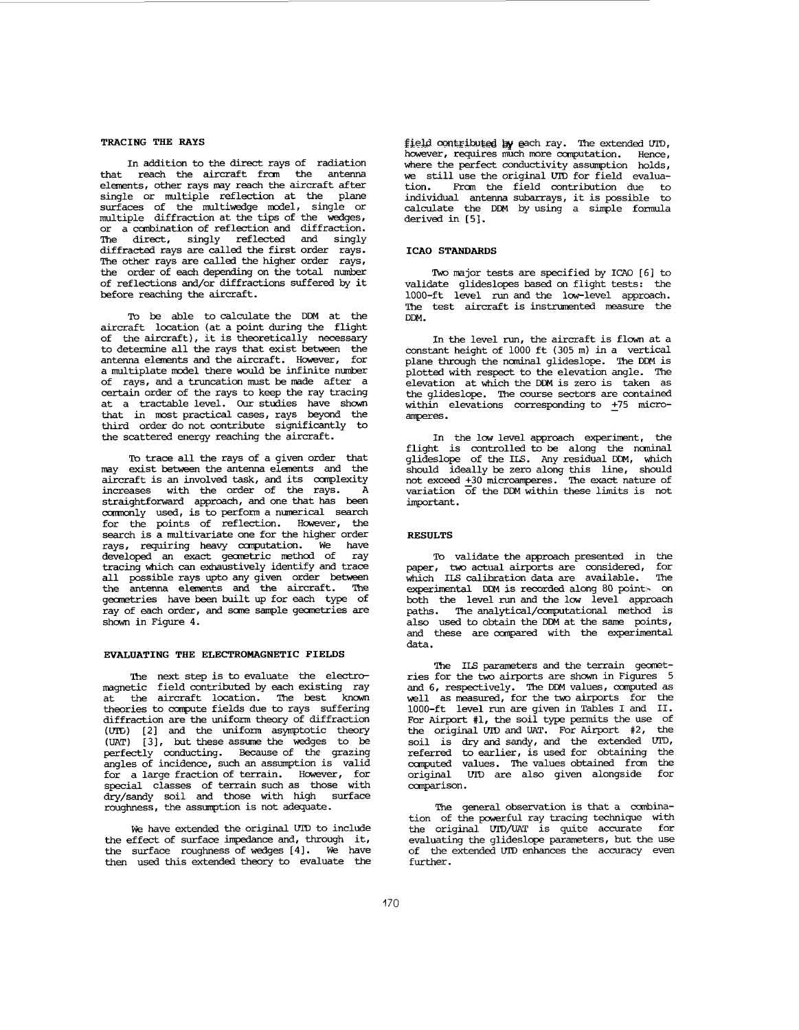## **TRACING THE RAYS**

In addition to the direct rays of radiation that reach the aircraft from the antenna elements, other rays may reach the aircraft after single or multiple reflection at the plane<br>surfaces of the multiwedge model, single or multiple diffraction at the tips of the wedges, or a combination of reflection and diffraction. The direct, singly reflected and singly diffracted rays are called the first order rays. The other rays are called the higher order rays, the order of each depending on the total number of reflections and/or diffractions suffered by it before reaching the aircraft.

**To** be able to calculate the DDM at the aircraft location (at a point during the flight of the aircraft), it is theoretically necessary to determine all the rays that exist between the antenna elements and the aircraft. However, for a multiplate model there would be infinite number<br>of rays, and a truncation must be made after a certain order of the rays to keep the ray tracing at a tractable level. *Our* studies have shown that in most practical cases, rays beyond the third order do not contribute significantly to the scattered energy reaching the aircraft.

To trace all the rays of a given order that may exist between the antenna elements and the aircraft is an involved task, and its complexity<br>increases with the order of the rays. A increases with the order of the rays. straightforward approach, and one that has been commonly used, is to perform a numerical search for the points of reflection. However, the search is a multivariate one for the higher order rays, requiring heavy computation. We have<br>developed an exact geometric method of ray tracing which can exhaustively identify and trace all possible rays upto any given order between the antenna elements and the aircraft. The geometries have been built up for each type of ray of each order, and some sample geometries are shown in Figure 4.

## **EVALUATING THE ELECTROMAGNETIC FIELDS**

The next step is to evaluate the electromagnetic field contributed by each existing ray at the aircraft location. The best known theories to *ccanpute* fields due to rays suffering diffraction are the uniform theory of diffraction<br>(UID) [2] and the uniform asymptotic theory **(UAT)** [3], but these assume the wedges to be perfectly conducting. Because of the grazing angles of incidence, such an assumption is valid for a large fraction of terrain. However, for special classes of terrain such as those with dry/sandy soil and those with high surface roughness, the assumption is not adequate.

We have extended the original UID to include the effect of surface impedance and, through it, the surface roughness of wedges [4]. We have then used this extended theory to evaluate the **Eleld contributed by each ray. The extended UID, however, requires much more computation.** Hence, however, requires much more computation. where the perfect conductivity assumption holds, **we** still use the original UID for field evaluation. From the field contribution due to<br>individual antenna subarrays, it is possible to calculate the DDM by using a simple formula derived in **[SI.** 

### **1CAO STANDARDS**

Two major tests are specified by ICAO [6] to validate glideslopes based on flight tests: the 1000-ft level run and the low-level approach. The test aircraft is instrumented measure the DDM.

In the level run, the aircraft is flown at a constant height of 1000 ft (305 **m)** *in* a vertical plane through the nominal glideslope. The DDM is plotted with respect to the elevation angle. The elevation at which the DDM is zero is taken as the glideslope. The course sectors are contained within elevations corresponding to **275** micro*alweres* \*

In the low level approach experiment, the flight is controlled to be along the naninal glideslope of the **ITS.** Any residual DDM, which should ideally be zero along this line, should not exceed **230** microamperes. The exact nature of variation  $\overline{of}$  the DDM within these limits is not important.

# **RESULTS**

To validate the approach presented in the<br>r. two actual airports are considered, for paper, two-actual-airports-are considered, for<br>which ILS-calibration-data-are available. The experimental DDM is recorded along 80 point- on both the level run and the low level approach **paths.** The **analytical/canputational** method is also used to obtain the DDM at the *same* points, and these are canpared with the experimental data.

The ILS parameters and the terrain geometries for the two airports are shown in Figures 5 and 6, respectively. The DDM values, ccmputed as well as measured, for the two airports for the 1000-ft level run are given *in* Tables I and 11. For Airport  $\#1$ , the soil type permits the use of the original UID and **UAT.** For **Airport** #2, the soil is dry and sandy, and the extended UID, referred to earlier, is used for obtaining the caputed values. The values obtained fran the original VIP) are also given alongside for canparison .

The general observation is that a combination of the powerful ray tracing technique with the original UID/UAT is quite accurate for<br>evaluating the glideslope parameters, but the use of the extended UID enhances the accuracy even further.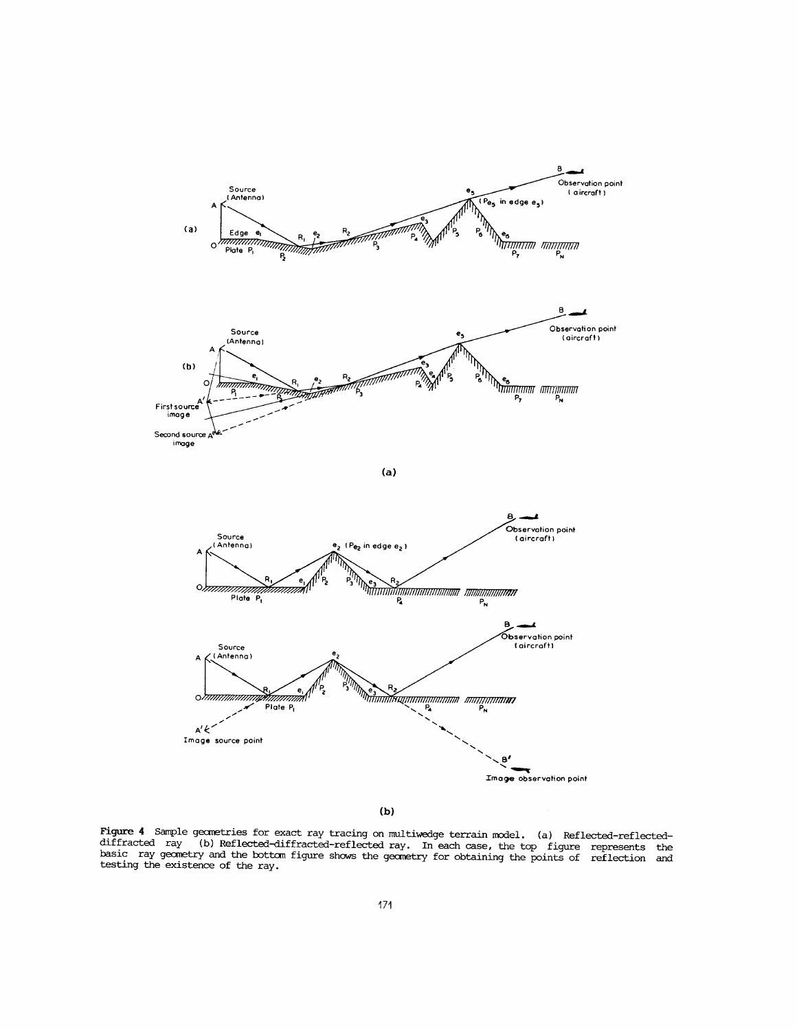

**(b)** 

*Figure* **4 Sample geanetries for exact ray tracing on multiwedge** terrain **model. (a) Reflected-reflecteddiffracted ray (b) Reflected-diffracted-reflected ray. In each case, the top figure represents the basic ray gemetry and the bottan figure shows the geanetry for obtaining the points of reflection and testing the existence of the ray.**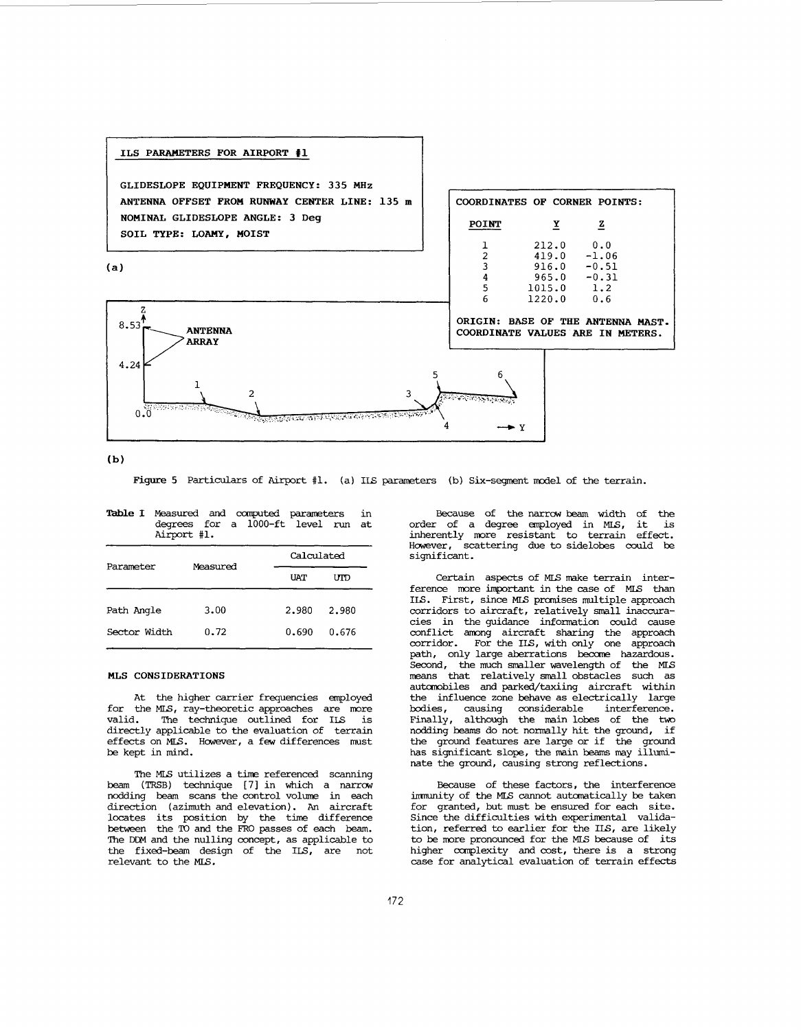

 $(b)$ 

Figure 5 Particulars of Airport #1. (a) ILS parameters (b) Six-segment model of the terrain.

|              | Airport #1. | degrees for a 1000-ft level run at |       |  |
|--------------|-------------|------------------------------------|-------|--|
| Parameter    | Measured    | Calculated                         |       |  |
|              |             | <b>UAT</b>                         | IMD   |  |
| Path Angle   | 3.00        | 2.980                              | 2.980 |  |
| Sector Width | 0.72        | 0.690                              | 0.676 |  |

Table I Measured and computed parameters in

#### **MLS CONSIDERATIONS**

At the higher carrier frequencies employed for the MLS, ray-theoretic approaches are more<br>valid. The technique outlined for IIS is The technique outlined for **ILS** is directly applicable to the evaluation of terrain effects on MLS. However, a few differences must be kept in mind.

The MLS utilizes a time referenced scanning<br>beam (TRSB) technique [7] in which a narrow nodding beam scans the control volume in each direction (azimuth and elevation). An aircraft locates its position by the time difference between the TO and the FRO passes of each beam. The **DCM** and the nulling concept, as applicable to the fixed-beam design of the **IS,** are not relevant to the **MLS.** 

Because of the narrow beam width of the order of a degree employed in **MLS,** it **is**  inherently more resistant to terrain effect. Hawever, scattering due to sidelobes could be significant .

Certain aspects of **MLS** make terrain interference more important in the case of MLS than **ILS.** First, since **MLS** prmises multiple approach corridors to aircraft, relatively small inaccura-<br>cies in the guidance information could cause cies in the guidance information could cause conflict among aircraft sharing the approach corridor. For the **IS,** with only one approach path, only large aberrations beccme hazardous. Second, the much smaller wavelength of the MLS means that relatively small obstacles such as autambiles and park&/taXiing aircraft within the influence zone behave as electrically large bodies, causing considerable interference. Finally, although the **main** lobes of the two nodding beams do not normally hit the ground, if the ground features are large or if the ground has significant slope, the main beams may illuminate the ground, causing strong reflections.

Because of these factors, the interference imnunity of the **MLS** cannot autanatically be taken for granted, but must be ensured for each site. Since the difficulties with experimental validation, referred to earlier for the **ILS,** are likely to be more pronounced for the MLS because of its higher complexity and cost, there is a strong case for analytical evaluation of terrain effects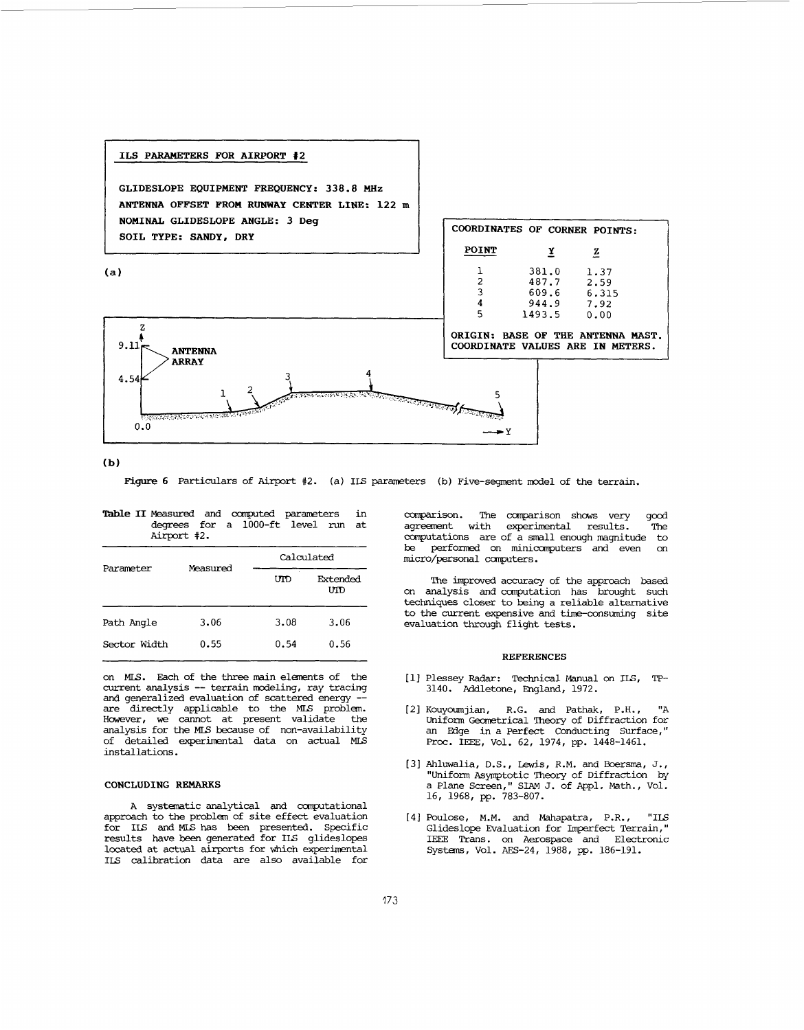

### **(b)**

**Figure 6** Particulars of *Airport* #2. (a) IIS parameters (b) Five-segment model of the terrain.

|  | <b>Table II</b> Measured and computed parameters in |  |  |  |
|--|-----------------------------------------------------|--|--|--|
|  | degrees for a 1000-ft level run at                  |  |  |  |
|  | Airport #2.                                         |  |  |  |

|              |          | Calculated |                 |  |  |
|--------------|----------|------------|-----------------|--|--|
| Parameter    | Measured | UTD        | Extended<br>UTD |  |  |
| Path Angle   | 3.06     | 3.08       | 3.06            |  |  |
| Sector Width | 0.55     | 0.54       | 0.56            |  |  |

on MLS. Each of the three main elements of the current analysis -- terrain modeling, ray tracing<br>and generalized evaluation of scattered energy -and generalized evaluation of scattered energy -- are directly applicable to the **MLS** problem. Hwever, **w=** cannot at present validate the analysis for the **MLS** because of non-availability of detailed experimental data on actual MLS installations.

# **CONCLUDING REMARKS**

**A** systematic analytical and canputational approach to the problem of site effect evaluation for **IS** and **MIS** has been presented. Specific results have been generated for ILS glideslopes located at actual airports for which experimental **ILS** calibration data are also available for canparison. The ccmparison shows very good agrement with experimental results. The computations are of a small enough magnitude to<br>be performed on minicomputers and even on be performed on minicomputers and even micro/personal computers.

on analysis and computation has brought such techniques closer to being a reliable alternative to the current expensive and time-consuming site evaluation through flight tests. The improved accuracy of the approach based

#### **REFERENCES**

- **[l]** Plessey Radar: Technical Manual on ILS, TP-3140. Addletone, England, 1972.
- 1.21 Kouyoumjian, R.G. and Pathak, P.H., "A an Edge in a Perfect Conducting Surface," Proc. IEEE, Vol. 62, 1974, pp. 1448-1461.
- [3] Ahlwalia, D.S., Lewis, R.M. and Boersma, J., a Plane Screen," SIAM J. of Appl. Math., Vol. 16, 1968, pp. 783-807.
- [4] Poulose, M.M. and Mahapatra, P.R., "ILS Glideslope Evaluation for Imperfect Terrain," IEEE Trans. on Aerospace and Electronic Systems, **Vol.** AFS-24, 1988, pp. 186-191.